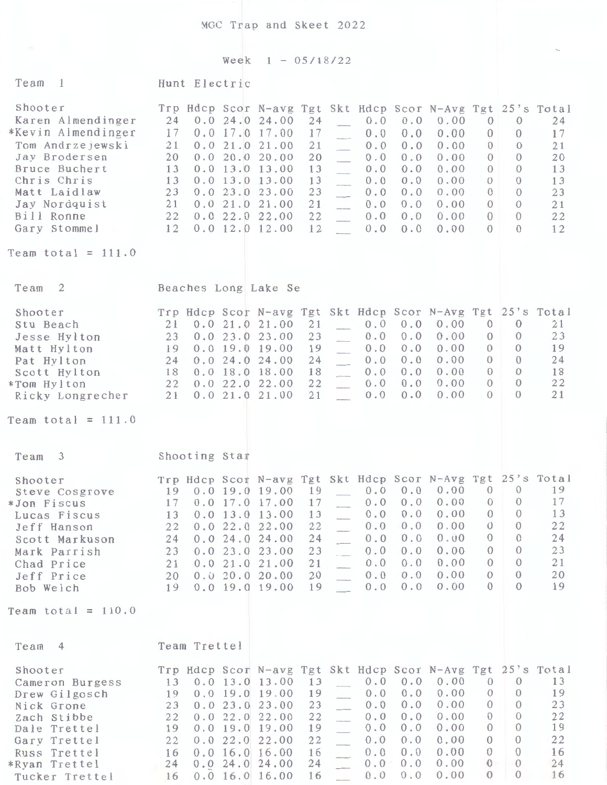MGC Trap and Skeet 2022

Week 1 - 05/18/22

 $\sim$ 

| Team<br>$\overline{1}$                                                                                                                                                                                         | Hunt Electric                                                                                                                                                                                                                            |                                                                                                                                                                                                                                                                                                                                                                                                                                                                                                          |                                                                                                                                                                                                      |
|----------------------------------------------------------------------------------------------------------------------------------------------------------------------------------------------------------------|------------------------------------------------------------------------------------------------------------------------------------------------------------------------------------------------------------------------------------------|----------------------------------------------------------------------------------------------------------------------------------------------------------------------------------------------------------------------------------------------------------------------------------------------------------------------------------------------------------------------------------------------------------------------------------------------------------------------------------------------------------|------------------------------------------------------------------------------------------------------------------------------------------------------------------------------------------------------|
| Shooter<br>Karen Almendinger<br>*Kevin Almendinger<br>Tom Andrzejewski<br>Jay Brodersen<br>Bruce Buchert<br>Chris Chris<br>Matt Laidlaw<br>Jay Nordquist<br>Bill Ronne<br>Gary Stommel<br>Team total = $111.0$ | 24<br>0.024.024.00<br>17<br>$0.0$ 17.0 17.00<br>21<br>0.021.021.00<br>20<br>0.020.020.00<br>$0.0$ 13.0 13.00<br>13<br>13<br>$0.0$ 13.0 13.00<br>23<br>0.023.023.00<br>21<br>0.021.021.00<br>22<br>0.022.022.00<br>12<br>$0.0$ 12.0 12.00 | Trp Hdcp Scor N-avg Tgt Skt Hdcp Scor N-Avg Tgt 25's Total<br>24<br>0.0<br>0.0<br>0.00<br>$\mathbf{0}$<br>17<br>0.0<br>0.0<br>0.00<br>$\overline{0}$<br>21<br>0.0<br>0.00<br>0.0<br>$\theta$<br>20<br>0.0<br>0.00<br>0.0<br>$\circ$<br>13<br>0.0<br>0.00<br>$\mathbf{0}$<br>0.0<br>13<br>0.0<br>0.00<br>$\theta$<br>0.0<br>23<br>0.0<br>0.00<br>$\mathbf{O}$<br>0.0<br>21<br>0.0<br>0.00<br>0.0<br>$\mathbf{0}$<br>22<br>0.0<br>0.00<br>$\sqrt{0}$<br>0.0<br>12<br>0.0<br>0.0<br>0.00<br>$\theta$        | 24<br>$\theta$<br>17<br>$\overline{0}$<br>$\theta$<br>21<br>$\Omega$<br>20<br>$\Omega$<br>13<br>$\theta$<br>13<br>$\mathbf{0}$<br>23<br>$\overline{0}$<br>21<br>$\theta$<br>22<br>$\mathbf{0}$<br>12 |
| Team <sub>2</sub>                                                                                                                                                                                              | Beaches Long Lake Se                                                                                                                                                                                                                     |                                                                                                                                                                                                                                                                                                                                                                                                                                                                                                          |                                                                                                                                                                                                      |
| Shooter<br>Stu Beach<br>Jesse Hylton<br>Matt Hylton<br>Pat Hylton<br>Scott Hylton<br>*Tom Hylton<br>Ricky Longrecher<br>Team total = $111.0$                                                                   | 0.021.021.00<br>21<br>23<br>0.023.023.00<br>$0.0$ 19.0 19.00<br>19<br>24<br>0.024.024.00<br>18<br>$0.0$ 18.0 18.00<br>22 0.0 22.0 22.00<br>0.021.021.00<br>21                                                                            | Trp Hdcp Scor N-avg Tgt Skt Hdcp Scor N-Avg Tgt 25's Total<br>21<br>0.0<br>0.0<br>0.00<br>$\mathbf{0}$<br>23<br>0.0<br>0.00<br>0.0<br>$\theta$<br>19<br>0.0<br>0.00<br>0.0<br>$\overline{0}$<br>$\overline{\phantom{a}}$<br>24<br>0.0<br>0.00<br>0.0<br>$\Omega$<br>$\overline{\phantom{a}}$<br>0.0<br>0.00<br>$\theta$<br>18<br>0.0<br>$\overline{\phantom{a}}$<br>22<br>0.00<br>0.0<br>$\mathbf{0}$<br>0.0<br>21<br>0.0<br>0.00<br>$\theta$<br>0.0                                                     | 21<br>$\Omega$<br>23<br>$\theta$<br>$\theta$<br>19<br>$\Omega$<br>24<br>$\theta$<br>18<br>22<br>$\mathbf{0}$<br>$\Omega$<br>21                                                                       |
| Team 3                                                                                                                                                                                                         | Shooting Star                                                                                                                                                                                                                            |                                                                                                                                                                                                                                                                                                                                                                                                                                                                                                          |                                                                                                                                                                                                      |
| Shooter<br>Steve Cosgrove<br>*Jon Fiscus<br>Lucas Fiscus<br>Jeff Hanson<br>Scott Markuson<br>Mark Parrish<br>Chad Price<br>Jeff Price<br>Bob Welch                                                             | 19 0.0 19.0 19.00<br>$0.0$ 17.0 17.00<br>17<br>$0.0$ 13.0 13.00<br>13<br>22<br>0.022.0<br>24<br>0.024.0<br>23<br>0.023.0<br>0.021.0<br>21<br>0.020.020.00<br>20<br>$0.0$ 19.0 19.00<br>19                                                | Trp Hdcp Scor N-avg Tgt Skt Hdcp Scor N-Avg Tgt<br>0.00<br>$\overline{0}$<br>19<br>$0.0 \quad 0.0$<br>0.00<br>0.0<br>0.0<br>$\theta$<br>17<br>$\theta$<br>0.00<br>0.0<br>0.0<br>13<br>0.00<br>22.00<br>22<br>0.0<br>0.0<br>$\theta$<br>24<br>0.00<br>$\theta$<br>24.00<br>0.0<br>0.0<br>23<br>0.00<br>$\mathbf{0}$<br>0.0<br>0.0<br>23.00<br>0.00<br>$\theta$<br>21<br>0.0<br>0.0<br>21.00<br>0.00<br>20<br>0.0<br>0.0<br>$\theta$<br>0.00<br>0.0<br>$\Omega$<br>19<br>0.0<br>$\sim$                     | 25's Total<br>19<br>$\overline{0}$<br>17<br>$\overline{0}$<br>$\theta$<br>13<br>22<br>$\theta$<br>24<br>$\theta$<br>23<br>$\Omega$<br>21<br>$\Omega$<br>20<br>$\Omega$<br>$\Omega$<br>19             |
| Team total = $110.0$                                                                                                                                                                                           |                                                                                                                                                                                                                                          |                                                                                                                                                                                                                                                                                                                                                                                                                                                                                                          |                                                                                                                                                                                                      |
| Team<br>$\overline{4}$<br>Shooter<br>Cameron Burgess<br>Drew Gilgosch<br>Nick Grone<br>Zach Stibbe<br>Dale Trettel<br>Gary Trettel<br>Russ Trettel<br>*Ryan Trettel<br>Tucker Trettel                          | Team Trettel<br>13<br>$0.0$ 13.0 13.00<br>$0.0$ 19.0 19.00<br>19<br>0.023.023.00<br>23<br>0.022.022.00<br>22<br>$0.0$ 19.0 19.00<br>19<br>22<br>0.022.0<br>0.0 16.0 16.00<br>16<br>0.024.024.00<br>24<br>$0.0$ 16.0 16.00<br>16          | Trp Hdcp Scor N-avg Tgt Skt Hdcp Scor N-Avg Tgt 25's Total<br>0.00<br>13<br>0.0<br>0.0<br>$\Omega$<br>0.0<br>0.00<br>19<br>0.0<br>$\theta$<br>$\overline{\phantom{a}}$<br>0.0<br>0.00<br>23<br>0.0<br>$\theta$<br>--------<br>0.00<br>$\mathbf{0}$<br>22<br>0.0<br>0.0<br>$\mathbf{0}$<br>19<br>0.00<br>0.0<br>0.0<br>22<br>$\theta$<br>0.0<br>0.00<br>22.00<br>0.0<br>0.00<br>$\theta$<br>0.0<br>16<br>0.0<br>$\ddot{\text{o}}$<br>24<br>$0.0 -$<br>0.0<br>0.00<br>0.00<br>$\theta$<br>16<br>0.0<br>0.0 | 13<br>$\theta$<br>$\theta$<br>19<br>23<br>$\theta$<br>22<br>$\theta$<br>$\theta$<br>19<br>$\mathcal{O}$<br>22<br>$\Omega$<br>16<br>24<br>$\theta$<br>$\Omega$<br>16                                  |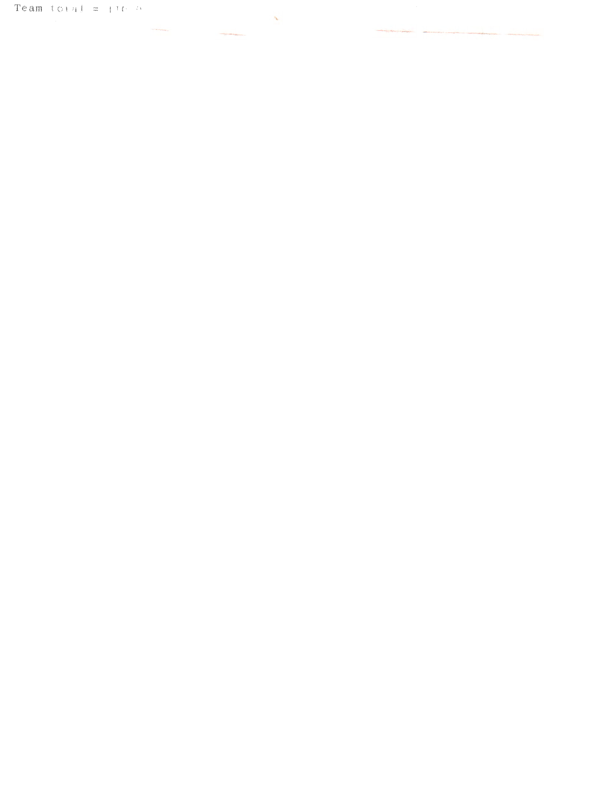## Team total  $\approx$  110.000

 $\Delta \phi$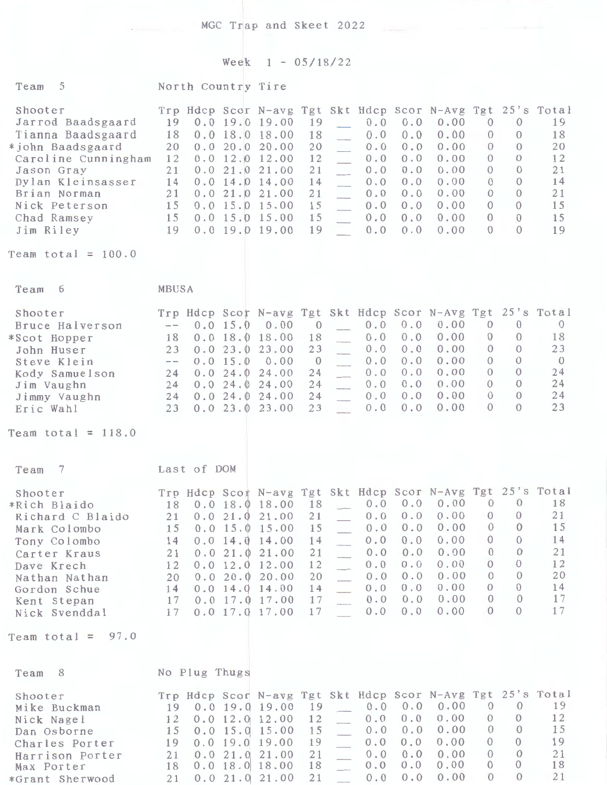## Week 1 - 05/18/22

| 5<br>Team                                                                                                                                                                                                            |                                                          | North Country Tire |                                            |                                                                                                                                                                                        |                                                              |                                                                                                                                         |                                                                    |                                                                         |                                                                                                                                                                                 |                                                                                                                                  |                                                                                                                               |                                                                      |
|----------------------------------------------------------------------------------------------------------------------------------------------------------------------------------------------------------------------|----------------------------------------------------------|--------------------|--------------------------------------------|----------------------------------------------------------------------------------------------------------------------------------------------------------------------------------------|--------------------------------------------------------------|-----------------------------------------------------------------------------------------------------------------------------------------|--------------------------------------------------------------------|-------------------------------------------------------------------------|---------------------------------------------------------------------------------------------------------------------------------------------------------------------------------|----------------------------------------------------------------------------------------------------------------------------------|-------------------------------------------------------------------------------------------------------------------------------|----------------------------------------------------------------------|
| Shooter<br>Jarrod Baadsgaard<br>Tianna Baadsgaard<br>*john Baadsgaard<br>Caroline Cunningham<br>Jason Gray<br>Dylan Kleinsasser<br>Brian Norman<br>Nick Peterson<br>Chad Ramsey<br>Jim Riley<br>Team total = $100.0$ | 19<br>18<br>20<br>12<br>21<br>14<br>21<br>15<br>15<br>19 |                    |                                            | $0.0$ 19.0 19.00<br>$0.0$ 18.0 18.00<br>0.020.020.00<br>$0.0$ 12.0 12.00<br>0.021.021.00<br>$0.0$ 14.0 14.00<br>0.021.021.00<br>$0.0$ 15.0 15.00<br>$0.0$ 15.0 15.00<br>0.0 19.0 19.00 | 19<br>18<br>20<br>12<br>21<br>14<br>21<br>15<br>15<br>19     | $\mathcal{L}$<br>$\overline{\phantom{a}}$<br>------<br>$\overline{\phantom{a}}$<br>$\overline{a}$<br>$\overline{\phantom{a}}$<br>olar 1 | 0.0<br>0.0<br>0.0<br>0.0<br>0.0<br>0.0<br>0.0<br>0.0<br>0.0<br>0.0 | 0.0<br>0.0<br>0.0<br>0.0<br>0.0<br>0.0<br>0.0<br>0.0<br>0.0<br>0.0      | Trp Hdcp Scor N-avg Tgt Skt Hdcp Scor N-Avg Tgt 25's Total<br>0.00<br>0.00<br>0.00<br>0.00<br>0.00<br>0.00<br>0.00<br>0.00<br>0.00<br>0.00                                      | $\theta$<br>$\Omega$<br>$\Omega$<br>$\theta$<br>$\theta$<br>$\overline{0}$<br>$\Omega$<br>$\overline{0}$<br>$\theta$<br>$\Omega$ | $\overline{0}$<br>$\Omega$<br>$\Omega$<br>$\Omega$<br>$\Omega$<br>$\Omega$<br>$\theta$<br>$\Omega$<br>$\Omega$<br>$\Omega$    | 19<br>18<br>20<br>12<br>21<br>14<br>21<br>15<br>15<br>19             |
|                                                                                                                                                                                                                      |                                                          |                    |                                            |                                                                                                                                                                                        |                                                              |                                                                                                                                         |                                                                    |                                                                         |                                                                                                                                                                                 |                                                                                                                                  |                                                                                                                               |                                                                      |
| Team<br>6                                                                                                                                                                                                            | MBUSA                                                    |                    |                                            |                                                                                                                                                                                        |                                                              |                                                                                                                                         |                                                                    |                                                                         |                                                                                                                                                                                 |                                                                                                                                  |                                                                                                                               |                                                                      |
| Shooter<br>Bruce Halverson<br>*Scot Hopper<br>John Huser<br>Steve Klein<br>Kody Samuelson<br>Jim Vaughn<br>Jimmy Vaughn<br>Eric Wahl                                                                                 | $\sim$<br>18<br>23<br>$\sim$ $\sim$<br>24<br>24<br>23    |                    | 0.0 15.0<br>0.023.0<br>0.0 15.0<br>0.024.0 | 0.00<br>$0.0$ 18.0 18.00<br>23.00<br>0.00<br>0.024.024.00<br>24.00<br>24 0.0 24.0 24.00<br>0.023.023.00                                                                                | $\mathbf{0}$<br>18<br>23<br>$\theta$<br>24<br>24<br>24<br>23 | $\overline{\phantom{a}}$<br>$\frac{1}{2}$                                                                                               | 0.0<br>0.0<br>0.0<br>0.0<br>0.0<br>0.0<br>0.0<br>0.0               | 0.0<br>0.0<br>0.0<br>0.0<br>0.0<br>0.0<br>0.0<br>0.0                    | Trp Hdcp Scor N-avg Tgt Skt Hdcp Scor N-Avg Tgt 25's Total<br>0.00<br>0.00<br>0.00<br>0.00<br>0.00<br>0.00<br>0.00<br>0.00                                                      | $\theta$<br>$\theta$<br>$\mathbf{0}$<br>$\overline{0}$<br>$\Omega$<br>$\overline{0}$<br>$\theta$<br>$\Omega$                     | $\theta$<br>$\Omega$<br>$\theta$<br>$\theta$<br>$\Omega$<br>$\Omega$<br>$\Omega$<br>$\Omega$                                  | $\overline{0}$<br>18<br>23<br>$\overline{0}$<br>24<br>24<br>24<br>23 |
| Team total = $118.0$                                                                                                                                                                                                 |                                                          |                    |                                            |                                                                                                                                                                                        |                                                              |                                                                                                                                         |                                                                    |                                                                         |                                                                                                                                                                                 |                                                                                                                                  |                                                                                                                               |                                                                      |
| -7<br>Team                                                                                                                                                                                                           |                                                          | Last of DOM        |                                            |                                                                                                                                                                                        |                                                              |                                                                                                                                         |                                                                    |                                                                         |                                                                                                                                                                                 |                                                                                                                                  |                                                                                                                               |                                                                      |
| Shooter<br>*Rich Blaido<br>Richard C Blaido<br>Mark Colombo<br>Tony Colombo<br>Carter Kraus<br>Dave Krech<br>Nathan Nathan<br>Gordon Schue<br>Kent Stepan<br>Nick Svenddal<br>Team total = $97.0$                    | 18<br>15<br>14<br>21<br>12<br>20<br>17                   |                    |                                            | $0.0$ 18.0 18.00 18 $-$<br>$0.0$ 15.0 15.00<br>$0.0$ 14.0 14.00<br>0.021.021.00<br>$0.0$ 12.0 12.00<br>0.020.020.00<br>14 0.0 14.0 14.00<br>17 0.0 17.0 17.00<br>$0.0$ 17.0 17.00      | 15<br>14<br>21<br>12<br>20<br>14<br>17<br>17                 |                                                                                                                                         | 0.0<br>0.0<br>0.0<br>0.0<br>0.0<br>0.0<br>0.0<br>0.0               | $0.0 \quad 0.0$<br>0.0<br>0.0<br>0.0<br>0.0<br>0.0<br>0.0<br>0.0<br>0.0 | Trp Hdcp Scot N-avg Tgt Skt Hdcp Scor N-Avg Tgt 25's Total<br>0.00<br>$21$ 0.0 21.0 21.00 21 _ 0.0 0.0 0.00 0 0<br>0.00<br>0.00<br>0.00<br>0.00<br>0.00<br>0.00<br>0.00<br>0.00 | $\overline{0}$<br>$\theta$<br>$\overline{0}$<br>$\Omega$<br>$\Omega$<br>$\theta$<br>$\Omega$<br>$\theta$<br>$\Omega$             | $\theta$<br>$\theta$<br>$\theta$<br>$\theta$<br>$\ddot{\text{o}}$<br>$\overline{0}$<br>$\overline{0}$<br>$\theta$<br>$\Omega$ | 18<br>21<br>15<br>14<br>21<br>12<br>20<br>14<br>17<br>17             |
|                                                                                                                                                                                                                      |                                                          |                    |                                            |                                                                                                                                                                                        |                                                              |                                                                                                                                         |                                                                    |                                                                         |                                                                                                                                                                                 |                                                                                                                                  |                                                                                                                               |                                                                      |
| Team 8                                                                                                                                                                                                               |                                                          | No Plug Thugs      |                                            |                                                                                                                                                                                        |                                                              |                                                                                                                                         |                                                                    |                                                                         |                                                                                                                                                                                 |                                                                                                                                  |                                                                                                                               |                                                                      |
| Shooter<br>Mike Buckman<br>Nick Nagel<br>Dan Osborne<br>Charles Porter<br>Harrison Porter<br>Max Porter                                                                                                              | 12<br>21<br>18                                           |                    |                                            | 19 0.0 19.0 19.00<br>$0.0$ 12.0 12.00<br>15 0.0 15.0 15.00<br>19 0.0 19.0 19.00<br>0.021.021.00<br>$0.0$ 18.0 18.00                                                                    | 19<br>12<br>15<br>19<br>21<br>18                             | $\mathcal{L}_{\mathcal{L}}$<br>$\overline{a}$<br>$\overline{a}$<br>$\overline{\phantom{a}}$                                             | 0.0<br>0.0<br>0.0<br>0.0<br>0.0<br>0.0                             | 0.0<br>0.0<br>0.0<br>0.0<br>0.0<br>0.0                                  | Trp Hdcp Scor N-avg Tgt Skt Hdcp Scor N-Avg Tgt 25's Total<br>0.00<br>0.00<br>0.00<br>0.00<br>0.00<br>0.00                                                                      | $\theta$<br>$\theta$<br>$\theta$<br>$\Omega$<br>$\Omega$<br>$\Omega$                                                             | $\theta$<br>$\mathbf{0}$<br>$\overline{0}$<br>$\theta$<br>$\theta$<br>$\mathbf{0}$                                            | 19<br>12<br>15<br>19<br>21<br>18                                     |

\*Grant Sherwood 21 0.0 21.0 21.00 21 0.0 0.0 0.00 0 0 21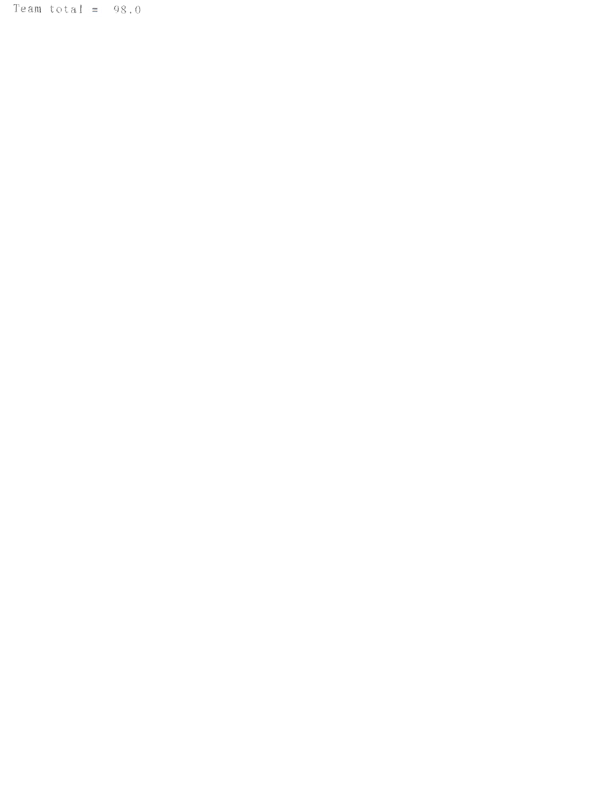Team total  $= 98.0$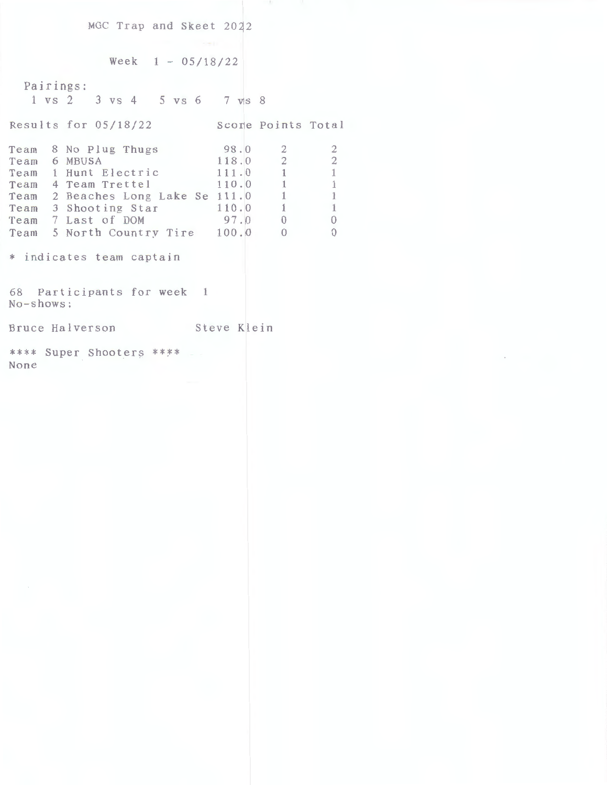MGC Trap and Skeet 2022

```
Week 1 - 05/18/22
```
Pairings: 1 vs *2* 3 vs 4 5 VS 6 7 VS 8 Results for 05/18/22 Score Points Total Team 8 No Plug Thugs Team 6 MBUSA Team 1 Hunt Electric Team 4 Team Trettel Team 2 Beaches Long Lake Se Team 3 Shooting Star Team 7 Last of DOM Team 5 North Country Tire \* indicates team captain 68 Participants for **week 1**  No-shows: 98.0 118.0 111.0 110.0 111. 0 110.0 97.0 100.0 Bruce Halverson Steve Klein \*\*\*\* Super Shooters \*\*\*\* None 2 2 2 2 1 1 1 1 l 1 **1 1**  0 0 0 0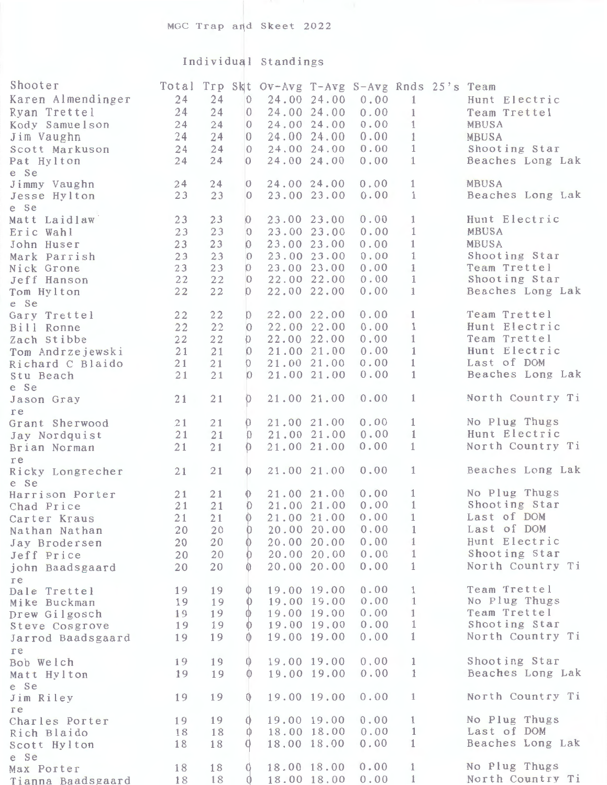## Individual Standings

| Shooter                       |    |    |                                       | Total Trp Skt Ov-Avg T-Avg S-Avg Rnds 25's Team |             |      |              |                  |
|-------------------------------|----|----|---------------------------------------|-------------------------------------------------|-------------|------|--------------|------------------|
| Karen Almendinger             | 24 | 24 | $\overline{0}$                        |                                                 | 24.00 24.00 | 0.00 | $\mathbf{1}$ | Hunt Electric    |
| Ryan Trettel                  | 24 | 24 | $\begin{array}{c} 0 \\ 0 \end{array}$ |                                                 | 24.00 24.00 | 0.00 | $\mathbf{1}$ | Team Trettel     |
| Kody Samuelson                | 24 | 24 | $\Omega$                              |                                                 | 24.00 24.00 | 0.00 | $\mathbf{1}$ | MBUSA            |
| Jim Vaughn                    | 24 | 24 | $\Box$                                |                                                 | 24.00 24.00 | 0.00 | $\mathbf{1}$ | <b>MBUSA</b>     |
| Scott Markuson                | 24 | 24 | $\Omega$                              |                                                 | 24.00 24.00 | 0.00 | $\mathbf{1}$ | Shooting Star    |
| Pat Hylton                    | 24 | 24 | $\Omega$                              |                                                 | 24.00 24.00 | 0.00 | $\mathbf{1}$ | Beaches Long Lak |
| e Se                          |    |    |                                       |                                                 |             |      |              |                  |
| Jimmy Vaughn                  | 24 | 24 | $\overline{0}$                        |                                                 | 24.00 24.00 | 0.00 | $\mathbf{1}$ | MBUSA            |
| Jesse Hylton                  | 23 | 23 | $\Omega$                              |                                                 | 23.00 23.00 | 0.00 | $\mathbf{1}$ | Beaches Long Lak |
| e Se                          |    |    |                                       |                                                 |             |      |              |                  |
| Matt Laidlaw                  | 23 | 23 | $\theta$                              |                                                 | 23.00 23.00 | 0.00 | $\mathbf{1}$ | Hunt Electric    |
| Eric Wahl                     | 23 | 23 | $\Omega$                              |                                                 | 23.00 23.00 | 0.00 | $\mathbf{1}$ | MBUSA            |
| John Huser                    | 23 | 23 | $\Omega$                              |                                                 | 23.00 23.00 | 0.00 | $\mathbf{1}$ | <b>MBUSA</b>     |
| Mark Parrish                  | 23 | 23 | $\Omega$                              |                                                 | 23.00 23.00 | 0.00 | $\mathbf{1}$ | Shooting Star    |
| Nick Grone                    | 23 | 23 | $\Omega$                              |                                                 | 23.00 23.00 | 0.00 | $\mathbf{1}$ | Team Trettel     |
| Jeff Hanson                   | 22 | 22 | $\Omega$                              |                                                 | 22.00 22.00 | 0.00 | $\mathbf{1}$ | Shooting Star    |
| Tom Hylton                    | 22 | 22 | D                                     |                                                 | 22.00 22.00 | 0.00 | $\mathbf{1}$ | Beaches Long Lak |
| e Se                          |    |    |                                       |                                                 |             |      |              |                  |
| Gary Trettel                  | 22 | 22 | $\mathbb{D}$                          |                                                 | 22.00 22.00 | 0.00 | $\mathbf{1}$ | Team Trettel     |
| Bill Ronne                    | 22 | 22 | Ю                                     |                                                 | 22.00 22.00 | 0.00 | $\mathbf{1}$ | Hunt Electric    |
| Zach Stibbe                   | 22 | 22 | O.                                    |                                                 | 22.00 22.00 | 0.00 | $\mathbf{1}$ | Team Trettel     |
| Tom Andrzejewski              | 21 | 21 | O.                                    |                                                 | 21.00 21.00 | 0.00 | $\mathbf{1}$ | Hunt Electric    |
| Richard C Blaido              | 21 | 21 | O.                                    |                                                 | 21.00 21.00 | 0.00 | $\mathbf{1}$ | Last of DOM      |
| Stu Beach                     | 21 | 21 | $\Omega$                              |                                                 | 21.00 21.00 | 0.00 | $\mathbf{1}$ | Beaches Long Lak |
| e Se                          |    |    |                                       |                                                 |             |      |              |                  |
| Jason Gray                    | 21 | 21 | 0                                     |                                                 | 21.00 21.00 | 0.00 | $\mathbf{1}$ | North Country Ti |
| re                            |    |    |                                       |                                                 |             |      |              |                  |
| Grant Sherwood                | 21 | 21 | 0                                     |                                                 | 21.00 21.00 | 0.00 | $\mathbf{1}$ | No Plug Thugs    |
| Jay Nordquist                 | 21 | 21 | $\Omega$                              |                                                 | 21.00 21.00 | 0.00 | $\mathbf{1}$ | Hunt Electric    |
| Brian Norman                  | 21 | 21 |                                       |                                                 | 21.00 21.00 | 0.00 | $\mathbf{1}$ | North Country Ti |
| re                            |    |    |                                       |                                                 |             |      |              |                  |
| Ricky Longrecher              | 21 | 21 | 0                                     |                                                 | 21.00 21.00 | 0.00 | $\mathbf{1}$ | Beaches Long Lak |
| e Se                          | 21 | 21 | $\Omega$                              |                                                 | 21.00 21.00 | 0.00 | $\mathbf{1}$ | No Plug Thugs    |
| Harrison Porter<br>Chad Price | 21 | 21 | $^{\circ}$                            |                                                 | 21.00 21.00 | 0.00 | $\mathbf{1}$ | Shooting Star    |
| Carter Kraus                  | 21 | 21 |                                       |                                                 | 21.00 21.00 | 0.00 | $\mathbf{1}$ | Last of DOM      |
| Nathan Nathan                 | 20 | 20 | $\theta$                              |                                                 | 20.00 20.00 | 0.00 | 1            | Last of DOM      |
| Jay Brodersen                 | 20 | 20 |                                       |                                                 | 20.00 20.00 | 0.00 | $\mathbf{1}$ | Hunt Electric    |
|                               | 20 | 20 | $\theta$                              |                                                 | 20.00 20.00 | 0.00 | $\mathbf{1}$ | Shooting Star    |
| Jeff Price                    | 20 | 20 |                                       |                                                 | 20.00 20.00 | 0.00 | $\mathbf{1}$ | North Country Ti |
| john Baadsgaard               |    |    |                                       |                                                 |             |      |              |                  |
| re<br>Dale Trettel            | 19 | 19 | $^{\circ}$                            |                                                 | 19.00 19.00 | 0.00 | 1            | Team Trettel     |
| Mike Buckman                  | 19 | 19 | $\mathbf{0}$                          |                                                 | 19.00 19.00 | 0.00 | $\mathbf{1}$ | No Plug Thugs    |
| Drew Gilgosch                 | 19 | 19 | $\circ$                               |                                                 | 19.00 19.00 | 0.00 | $\mathbf{1}$ | Team Trettel     |
| Steve Cosgrove                | 19 | 19 | $\mathbb{O}$                          |                                                 | 19.00 19.00 | 0.00 | $\mathbf{1}$ | Shooting Star    |
| Jarrod Baadsgaard             | 19 | 19 |                                       |                                                 | 19.00 19.00 | 0.00 | $\mathbf{1}$ | North Country Ti |
| re                            |    |    |                                       |                                                 |             |      |              |                  |
| Bob Welch                     | 19 | 19 | $\mathbb{O}$                          |                                                 | 19.00 19.00 | 0.00 | $\mathbf{1}$ | Shooting Star    |
| Matt Hylton                   | 19 | 19 | $\bigcirc$                            |                                                 | 19.00 19.00 | 0.00 | -1           | Beaches Long Lak |
| e Se                          |    |    |                                       |                                                 |             |      |              |                  |
| Jim Riley                     | 19 | 19 |                                       |                                                 | 19.00 19.00 | 0.00 | $\mathbf{1}$ | North Country Ti |
| re                            |    |    |                                       |                                                 |             |      |              |                  |
| Charles Porter                | 19 | 19 | 0                                     |                                                 | 19.00 19.00 | 0.00 | $\mathbf{1}$ | No Plug Thugs    |
| Rich Blaido                   | 18 | 18 | $\mathbb{O}$                          |                                                 | 18.00 18.00 | 0.00 | 1            | Last of DOM      |
| Scott Hylton                  | 18 | 18 | $\theta$                              |                                                 | 18.00 18.00 | 0.00 | $\mathbf{1}$ | Beaches Long Lak |
| e Se                          |    |    |                                       |                                                 |             |      |              |                  |
| Max Porter                    | 18 | 18 | 0                                     |                                                 | 18.00 18.00 | 0.00 | $\mathbf{1}$ | No Plug Thugs    |
| Tianna Baadsgaard             | 18 | 18 | $\Omega$                              |                                                 | 18.00 18.00 | 0.00 | 1            | North Country Ti |